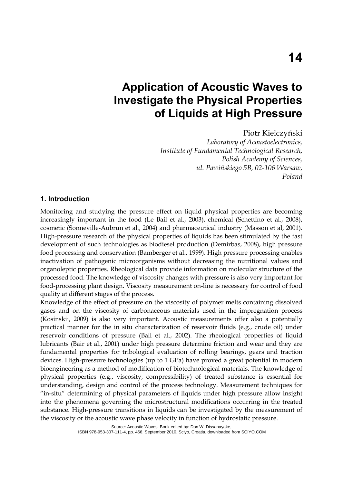# **Application of Acoustic Waves to Investigate the Physical Properties of Liquids at High Pressure**

## Piotr Kiełczyński

*Laboratory of Acoustoelectronics, Institute of Fundamental Technological Research, Polish Academy of Sciences, ul. Pawińskiego 5B, 02-106 Warsaw, Poland* 

#### **1. Introduction**

Monitoring and studying the pressure effect on liquid physical properties are becoming increasingly important in the food (Le Bail et al., 2003), chemical (Schettino et al., 2008), cosmetic (Sonneville-Aubrun et al., 2004) and pharmaceutical industry (Masson et al, 2001). High-pressure research of the physical properties of liquids has been stimulated by the fast development of such technologies as biodiesel production (Demirbas, 2008), high pressure food processing and conservation (Bamberger et al., 1999). High pressure processing enables inactivation of pathogenic microorganisms without decreasing the nutritional values and organoleptic properties. Rheological data provide information on molecular structure of the processed food. The knowledge of viscosity changes with pressure is also very important for food-processing plant design. Viscosity measurement on-line is necessary for control of food quality at different stages of the process.

Knowledge of the effect of pressure on the viscosity of polymer melts containing dissolved gases and on the viscosity of carbonaceous materials used in the impregnation process (Kosinskii, 2009) is also very important. Acoustic measurements offer also a potentially practical manner for the in situ characterization of reservoir fluids (e.g., crude oil) under reservoir conditions of pressure (Ball et al., 2002). The rheological properties of liquid lubricants (Bair et al., 2001) under high pressure determine friction and wear and they are fundamental properties for tribological evaluation of rolling bearings, gears and traction devices. High-pressure technologies (up to 1 GPa) have proved a great potential in modern bioengineering as a method of modification of biotechnological materials. The knowledge of physical properties (e.g., viscosity, compressibility) of treated substance is essential for understanding, design and control of the process technology. Measurement techniques for "in-situ" determining of physical parameters of liquids under high pressure allow insight into the phenomena governing the microstructural modifications occurring in the treated substance. High-pressure transitions in liquids can be investigated by the measurement of the viscosity or the acoustic wave phase velocity in function of hydrostatic pressure.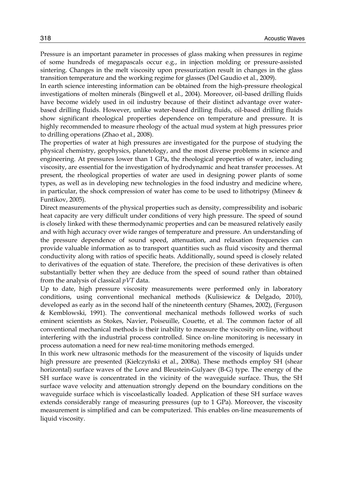Pressure is an important parameter in processes of glass making when pressures in regime of some hundreds of megapascals occur e.g., in injection molding or pressure-assisted sintering. Changes in the melt viscosity upon pressurization result in changes in the glass transition temperature and the working regime for glasses (Del Gaudio et al., 2009).

In earth science interesting information can be obtained from the high-pressure rheological investigations of molten minerals (Bingwell et al., 2004). Moreover, oil-based drilling fluids have become widely used in oil industry because of their distinct advantage over waterbased drilling fluids. However, unlike water-based drilling fluids, oil-based drilling fluids show significant rheological properties dependence on temperature and pressure. It is highly recommended to measure rheology of the actual mud system at high pressures prior to drilling operations (Zhao et al., 2008).

The properties of water at high pressures are investigated for the purpose of studying the physical chemistry, geophysics, planetology, and the most diverse problems in science and engineering. At pressures lower than 1 GPa, the rheological properties of water, including viscosity, are essential for the investigation of hydrodynamic and heat transfer processes. At present, the rheological properties of water are used in designing power plants of some types, as well as in developing new technologies in the food industry and medicine where, in particular, the shock compression of water has come to be used to lithotripsy (Mineev & Funtikov, 2005).

Direct measurements of the physical properties such as density, compressibility and isobaric heat capacity are very difficult under conditions of very high pressure. The speed of sound is closely linked with these thermodynamic properties and can be measured relatively easily and with high accuracy over wide ranges of temperature and pressure. An understanding of the pressure dependence of sound speed, attenuation, and relaxation frequencies can provide valuable information as to transport quantities such as fluid viscosity and thermal conductivity along with ratios of specific heats. Additionally, sound speed is closely related to derivatives of the equation of state. Therefore, the precision of these derivatives is often substantially better when they are deduce from the speed of sound rather than obtained from the analysis of classical *pVT* data.

Up to date, high pressure viscosity measurements were performed only in laboratory conditions, using conventional mechanical methods (Kulisiewicz & Delgado, 2010), developed as early as in the second half of the nineteenth century (Shames, 2002), (Ferguson & Kemblowski, 1991). The conventional mechanical methods followed works of such eminent scientists as Stokes, Navier, Poiseuille, Couette, et al. The common factor of all conventional mechanical methods is their inability to measure the viscosity on-line, without interfering with the industrial process controlled. Since on-line monitoring is necessary in process automation a need for new real-time monitoring methods emerged.

In this work new ultrasonic methods for the measurement of the viscosity of liquids under high pressure are presented (Kiełczyński et al., 2008a). These methods employ SH (shear horizontal) surface waves of the Love and Bleustein-Gulyaev (B-G) type. The energy of the SH surface wave is concentrated in the vicinity of the waveguide surface. Thus, the SH surface wave velocity and attenuation strongly depend on the boundary conditions on the waveguide surface which is viscoelastically loaded. Application of these SH surface waves extends considerably range of measuring pressures (up to 1 GPa). Moreover, the viscosity measurement is simplified and can be computerized. This enables on-line measurements of liquid viscosity.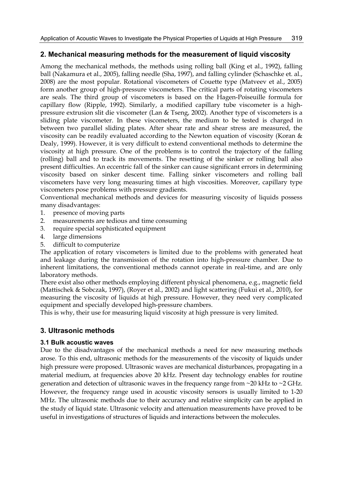## **2. Mechanical measuring methods for the measurement of liquid viscosity**

Among the mechanical methods, the methods using rolling ball (King et al., 1992), falling ball (Nakamura et al., 2005), falling needle (Sha, 1997), and falling cylinder (Schaschke et. al., 2008) are the most popular. Rotational viscometers of Couette type (Matveev et al., 2005) form another group of high-pressure viscometers. The critical parts of rotating viscometers are seals. The third group of viscometers is based on the Hagen-Poiseuille formula for capillary flow (Ripple, 1992). Similarly, a modified capillary tube viscometer is a highpressure extrusion slit die viscometer (Lan & Tseng, 2002). Another type of viscometers is a sliding plate viscometer. In these viscometers, the medium to be tested is charged in between two parallel sliding plates. After shear rate and shear stress are measured, the viscosity can be readily evaluated according to the Newton equation of viscosity (Koran & Dealy, 1999). However, it is very difficult to extend conventional methods to determine the viscosity at high pressure. One of the problems is to control the trajectory of the falling (rolling) ball and to track its movements. The resetting of the sinker or rolling ball also present difficulties. An eccentric fall of the sinker can cause significant errors in determining viscosity based on sinker descent time. Falling sinker viscometers and rolling ball viscometers have very long measuring times at high viscosities. Moreover, capillary type viscometers pose problems with pressure gradients.

Conventional mechanical methods and devices for measuring viscosity of liquids possess many disadvantages:

- 1. presence of moving parts
- 2. measurements are tedious and time consuming
- 3. require special sophisticated equipment
- 4. large dimensions
- 5. difficult to computerize

The application of rotary viscometers is limited due to the problems with generated heat and leakage during the transmission of the rotation into high-pressure chamber. Due to inherent limitations, the conventional methods cannot operate in real-time, and are only laboratory methods.

There exist also other methods employing different physical phenomena, e.g., magnetic field (Mattischek & Sobczak, 1997), (Royer et al., 2002) and light scattering (Fukui et al., 2010), for measuring the viscosity of liquids at high pressure. However, they need very complicated equipment and specially developed high-pressure chambers.

This is why, their use for measuring liquid viscosity at high pressure is very limited.

# **3. Ultrasonic methods**

## **3.1 Bulk acoustic waves**

Due to the disadvantages of the mechanical methods a need for new measuring methods arose. To this end, ultrasonic methods for the measurements of the viscosity of liquids under high pressure were proposed. Ultrasonic waves are mechanical disturbances, propagating in a material medium, at frequencies above 20 kHz. Present day technology enables for routine generation and detection of ultrasonic waves in the frequency range from  $\sim$ 20 kHz to  $\sim$ 2 GHz. However, the frequency range used in acoustic viscosity sensors is usually limited to 1-20 MHz. The ultrasonic methods due to their accuracy and relative simplicity can be applied in the study of liquid state. Ultrasonic velocity and attenuation measurements have proved to be useful in investigations of structures of liquids and interactions between the molecules.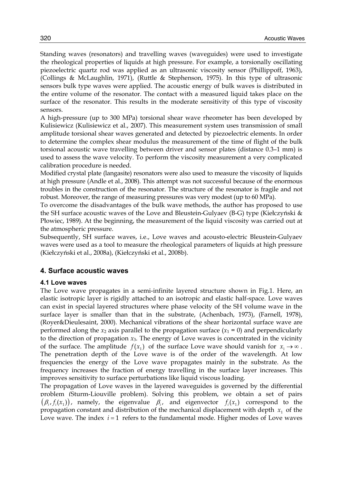Standing waves (resonators) and travelling waves (waveguides) were used to investigate the rheological properties of liquids at high pressure. For example, a torsionally oscillating piezoelectric quartz rod was applied as an ultrasonic viscosity sensor (Phillippoff, 1963), (Collings & McLaughlin, 1971), (Ruttle & Stephenson, 1975). In this type of ultrasonic sensors bulk type waves were applied. The acoustic energy of bulk waves is distributed in the entire volume of the resonator. The contact with a measured liquid takes place on the surface of the resonator. This results in the moderate sensitivity of this type of viscosity sensors.

A high-pressure (up to 300 MPa) torsional shear wave rheometer has been developed by Kulisiewicz (Kulisiewicz et al., 2007). This measurement system uses transmission of small amplitude torsional shear waves generated and detected by piezoelectric elements. In order to determine the complex shear modulus the measurement of the time of flight of the bulk torsional acoustic wave travelling between driver and sensor plates (distance 0.3–1 mm) is used to assess the wave velocity. To perform the viscosity measurement a very complicated calibration procedure is needed.

Modified crystal plate (langasite) resonators were also used to measure the viscosity of liquids at high pressure (Andle et al., 2008). This attempt was not successful because of the enormous troubles in the construction of the resonator. The structure of the resonator is fragile and not robust. Moreover, the range of measuring pressures was very modest (up to 60 MPa).

To overcome the disadvantages of the bulk wave methods, the author has proposed to use the SH surface acoustic waves of the Love and Bleustein-Gulyaev (B-G) type (Kiełczyński & Płowiec, 1989). At the beginning, the measurement of the liquid viscosity was carried out at the atmospheric pressure.

Subsequently, SH surface waves, i.e., Love waves and acousto-electric Bleustein-Gulyaev waves were used as a tool to measure the rheological parameters of liquids at high pressure (Kiełczyński et al., 2008a), (Kiełczyński et al., 2008b).

#### **4. Surface acoustic waves**

#### **4.1 Love waves**

The Love wave propagates in a semi-infinite layered structure shown in Fig.1. Here, an elastic isotropic layer is rigidly attached to an isotropic and elastic half-space. Love waves can exist in special layered structures where phase velocity of the SH volume wave in the surface layer is smaller than that in the substrate, (Achenbach, 1973), (Farnell, 1978), (Royer&Dieulesaint, 2000). Mechanical vibrations of the shear horizontal surface wave are performed along the  $x_2$  axis parallel to the propagation surface  $(x_1 = 0)$  and perpendicularly to the direction of propagation *x*3. The energy of Love waves is concentrated in the vicinity of the surface. The amplitude  $f(x_1)$  of the surface Love wave should vanish for  $x_1 \rightarrow \infty$ . The penetration depth of the Love wave is of the order of the wavelength. At low frequencies the energy of the Love wave propagates mainly in the substrate. As the frequency increases the fraction of energy travelling in the surface layer increases. This improves sensitivity to surface perturbations like liquid viscous loading.

The propagation of Love waves in the layered waveguides is governed by the differential problem (Sturm-Liouville problem). Solving this problem, we obtain a set of pairs  $(\beta_i, f_i(x_1))$ , namely, the eigenvalue  $\beta_i$ , and eigenvector  $f_i(x_1)$  correspond to the propagation constant and distribution of the mechanical displacement with depth  $x<sub>1</sub>$  of the Love wave. The index  $i = 1$  refers to the fundamental mode. Higher modes of Love waves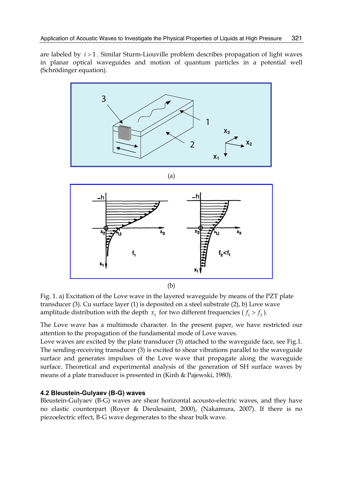are labeled by *i* > 1 . Similar Sturm-Liouville problem describes propagation of light waves in planar optical waveguides and motion of quantum particles in a potential well (Schrödinger equation).





Fig. 1. a) Excitation of the Love wave in the layered waveguide by means of the PZT plate transducer (3). Cu surface layer (1) is deposited on a steel substrate (2), b) Love wave amplitude distribution with the depth  $x_1$  for two different frequencies ( $f_1 > f_2$ ).

The Love wave has a multimode character. In the present paper, we have restricted our attention to the propagation of the fundamental mode of Love waves.

Love waves are excited by the plate transducer (3) attached to the waveguide face, see Fig.1. The sending-receiving transducer (3) is excited to shear vibrations parallel to the waveguide surface and generates impulses of the Love wave that propagate along the waveguide surface. Theoretical and experimental analysis of the generation of SH surface waves by means of a plate transducer is presented in (Kinh & Pajewski, 1980).

## **4.2 Bleustein-Gulyaev (B-G) waves**

Bleustein-Gulyaev (B-G) waves are shear horizontal acousto-electric waves, and they have no elastic counterpart (Royer & Dieulesaint, 2000), (Nakamura, 2007). If there is no piezoelectric effect, B-G wave degenerates to the shear bulk wave.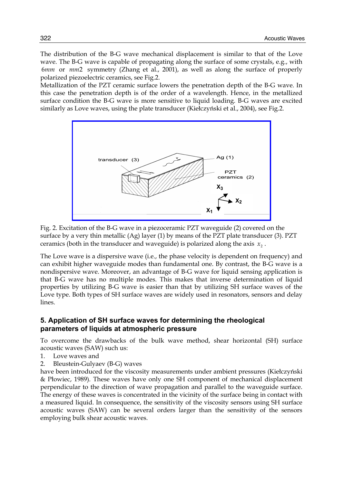The distribution of the B-G wave mechanical displacement is similar to that of the Love wave. The B-G wave is capable of propagating along the surface of some crystals, e.g., with 6*mm* or *mm*2 symmetry (Zhang et al., 2001), as well as along the surface of properly polarized piezoelectric ceramics, see Fig.2.

Metallization of the PZT ceramic surface lowers the penetration depth of the B-G wave. In this case the penetration depth is of the order of a wavelength. Hence, in the metallized surface condition the B-G wave is more sensitive to liquid loading. B-G waves are excited similarly as Love waves, using the plate transducer (Kiełczyński et al., 2004), see Fig.2.



Fig. 2. Excitation of the B-G wave in a piezoceramic PZT waveguide (2) covered on the surface by a very thin metallic  $(Ag)$  layer (1) by means of the PZT plate transducer (3). PZT ceramics (both in the transducer and waveguide) is polarized along the axis  $x<sub>2</sub>$ .

The Love wave is a dispersive wave (i.e., the phase velocity is dependent on frequency) and can exhibit higher waveguide modes than fundamental one. By contrast, the B-G wave is a nondispersive wave. Moreover, an advantage of B-G wave for liquid sensing application is that B-G wave has no multiple modes. This makes that inverse determination of liquid properties by utilizing B-G wave is easier than that by utilizing SH surface waves of the Love type. Both types of SH surface waves are widely used in resonators, sensors and delay lines.

## **5. Application of SH surface waves for determining the rheological parameters of liquids at atmospheric pressure**

To overcome the drawbacks of the bulk wave method, shear horizontal (SH) surface acoustic waves (SAW) such us:

- 1. Love waves and
- 2. Bleustein-Gulyaev (B-G) waves

have been introduced for the viscosity measurements under ambient pressures (Kiełczyński & Płowiec, 1989). These waves have only one SH component of mechanical displacement perpendicular to the direction of wave propagation and parallel to the waveguide surface. The energy of these waves is concentrated in the vicinity of the surface being in contact with a measured liquid. In consequence, the sensitivity of the viscosity sensors using SH surface acoustic waves (SAW) can be several orders larger than the sensitivity of the sensors employing bulk shear acoustic waves.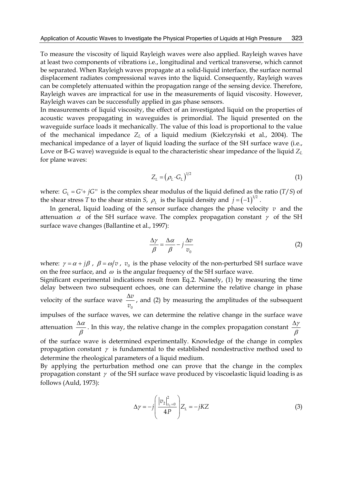To measure the viscosity of liquid Rayleigh waves were also applied. Rayleigh waves have at least two components of vibrations i.e., longitudinal and vertical transverse, which cannot be separated. When Rayleigh waves propagate at a solid-liquid interface, the surface normal displacement radiates compressional waves into the liquid. Consequently, Rayleigh waves can be completely attenuated within the propagation range of the sensing device. Therefore, Rayleigh waves are impractical for use in the measurements of liquid viscosity. However, Rayleigh waves can be successfully applied in gas phase sensors.

In measurements of liquid viscosity, the effect of an investigated liquid on the properties of acoustic waves propagating in waveguides is primordial. The liquid presented on the waveguide surface loads it mechanically. The value of this load is proportional to the value of the mechanical impedance *ZL* of a liquid medium (Kiełczyński et al., 2004). The mechanical impedance of a layer of liquid loading the surface of the SH surface wave (i.e., Love or B-G wave) waveguide is equal to the characteristic shear impedance of the liquid *ZL* for plane waves:

$$
Z_L = \left(\rho_L \cdot G_L\right)^{1/2} \tag{1}
$$

where:  $G_L = G + jG''$  is the complex shear modulus of the liquid defined as the ratio (*T*/*S*) of the shear stress *T* to the shear strain *S*,  $\rho$ <sub>*L*</sub> is the liquid density and  $j = (-1)^{1/2}$ .

 In general, liquid loading of the sensor surface changes the phase velocity *v* and the attenuation  $\alpha$  of the SH surface wave. The complex propagation constant  $\gamma$  of the SH surface wave changes (Ballantine et al., 1997):

$$
\frac{\Delta \gamma}{\beta} = \frac{\Delta \alpha}{\beta} - j \frac{\Delta v}{v_0} \tag{2}
$$

where:  $\gamma = \alpha + i\beta$ ,  $\beta = \omega/v$ ,  $v_0$  is the phase velocity of the non-perturbed SH surface wave on the free surface, and  $\omega$  is the angular frequency of the SH surface wave.

Significant experimental indications result from Eq.2. Namely, (1) by measuring the time delay between two subsequent echoes, one can determine the relative change in phase velocity of the surface wave  $\mathbf{0}$ *v*  $\frac{\Delta v}{v_0}$ , and (2) by measuring the amplitudes of the subsequent impulses of the surface waves, we can determine the relative change in the surface wave Δ

attenuation  $\frac{\Delta \alpha}{\beta}$ . In this way, the relative change in the complex propagation constant  $\frac{\Delta \gamma}{\beta}$ of the surface wave is determined experimentally. Knowledge of the change in complex

propagation constant  $\gamma$  is fundamental to the established nondestructive method used to determine the rheological parameters of a liquid medium.

By applying the perturbation method one can prove that the change in the complex propagation constant  $\gamma$  of the SH surface wave produced by viscoelastic liquid loading is as follows (Auld, 1973):

$$
\Delta \gamma = -j \left( \frac{\left| v_2 \right|_{x_1=0}^2}{4P} \right) Z_L = -jKZ \tag{3}
$$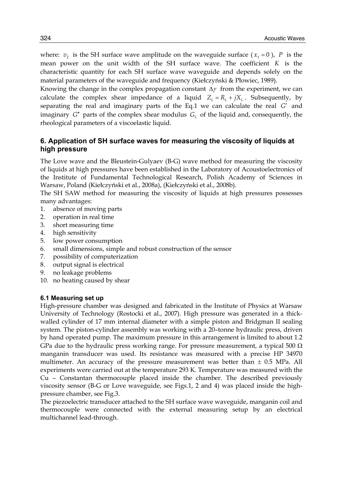where:  $v_2$ , is the SH surface wave amplitude on the waveguide surface  $(x_1 = 0)$ , *P* is the mean power on the unit width of the SH surface wave. The coefficient *K* is the characteristic quantity for each SH surface wave waveguide and depends solely on the material parameters of the waveguide and frequency (Kiełczyński & Płowiec, 1989).

Knowing the change in the complex propagation constant  $\Delta \gamma$  from the experiment, we can calculate the complex shear impedance of a liquid  $Z_i = R_i + jX_i$ . Subsequently, by separating the real and imaginary parts of the Eq.1 we can calculate the real *G*′ and imaginary  $G''$  parts of the complex shear modulus  $G<sub>L</sub>$  of the liquid and, consequently, the rheological parameters of a viscoelastic liquid.

# **6. Application of SH surface waves for measuring the viscosity of liquids at high pressure**

The Love wave and the Bleustein-Gulyaev (B-G) wave method for measuring the viscosity of liquids at high pressures have been established in the Laboratory of Acoustoelectronics of the Institute of Fundamental Technological Research, Polish Academy of Sciences in Warsaw, Poland (Kiełczyński et al., 2008a), (Kiełczyński et al., 2008b).

The SH SAW method for measuring the viscosity of liquids at high pressures possesses many advantages:

- 1. absence of moving parts
- 2. operation in real time
- 3. short measuring time
- 4. high sensitivity
- 5. low power consumption
- 6. small dimensions, simple and robust construction of the sensor
- 7. possibility of computerization
- 8. output signal is electrical
- 9. no leakage problems
- 10. no heating caused by shear

#### **6.1 Measuring set up**

High-pressure chamber was designed and fabricated in the Institute of Physics at Warsaw University of Technology (Rostocki et al., 2007). High pressure was generated in a thickwalled cylinder of 17 mm internal diameter with a simple piston and Bridgman II sealing system. The piston-cylinder assembly was working with a 20–tonne hydraulic press, driven by hand operated pump. The maximum pressure in this arrangement is limited to about 1.2 GPa due to the hydraulic press working range. For pressure measurement, a typical 500  $\Omega$ manganin transducer was used. Its resistance was measured with a precise HP 34970 multimeter. An accuracy of the pressure measurement was better than  $\pm$  0.5 MPa. All experiments were carried out at the temperature 293 K. Temperature was measured with the Cu – Constantan thermocouple placed inside the chamber. The described previously viscosity sensor (B-G or Love waveguide, see Figs.1, 2 and 4) was placed inside the highpressure chamber, see Fig.3.

The piezoelectric transducer attached to the SH surface wave waveguide, manganin coil and thermocouple were connected with the external measuring setup by an electrical multichannel lead-through.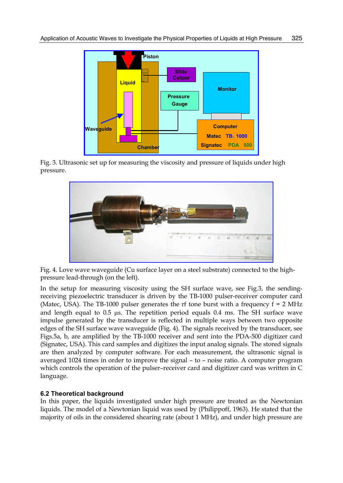

Fig. 3. Ultrasonic set up for measuring the viscosity and pressure of liquids under high pressure.



Fig. 4. Love wave waveguide (Cu surface layer on a steel substrate) connected to the highpressure lead-through (on the left).

In the setup for measuring viscosity using the SH surface wave, see Fig.3, the sendingreceiving piezoelectric transducer is driven by the TB-1000 pulser-receiver computer card (Matec, USA). The TB-1000 pulser generates the rf tone burst with a frequency  $f = 2 MHz$ and length equal to 0.5 μs. The repetition period equals 0.4 ms. The SH surface wave impulse generated by the transducer is reflected in multiple ways between two opposite edges of the SH surface wave waveguide (Fig. 4). The signals received by the transducer, see Figs.5a, b, are amplified by the TB-1000 receiver and sent into the PDA-500 digitizer card (Signatec, USA). This card samples and digitizes the input analog signals. The stored signals are then analyzed by computer software. For each measurement, the ultrasonic signal is averaged 1024 times in order to improve the signal – to – noise ratio. A computer program which controls the operation of the pulser–receiver card and digitizer card was written in C language.

## **6.2 Theoretical background**

In this paper, the liquids investigated under high pressure are treated as the Newtonian liquids. The model of a Newtonian liquid was used by (Philippoff, 1963). He stated that the majority of oils in the considered shearing rate (about 1 MHz), and under high pressure are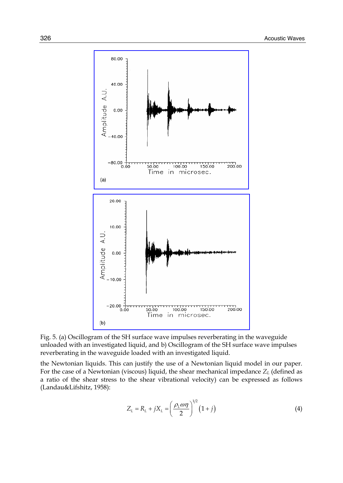

Fig. 5. (a) Oscillogram of the SH surface wave impulses reverberating in the waveguide unloaded with an investigated liquid, and b) Oscillogram of the SH surface wave impulses reverberating in the waveguide loaded with an investigated liquid.

the Newtonian liquids. This can justify the use of a Newtonian liquid model in our paper. For the case of a Newtonian (viscous) liquid, the shear mechanical impedance *ZL* (defined as a ratio of the shear stress to the shear vibrational velocity) can be expressed as follows (Landau&Lifshitz, 1958):

$$
Z_L = R_L + jX_L = \left(\frac{\rho_L \omega \eta}{2}\right)^{1/2} \left(1 + j\right)
$$
 (4)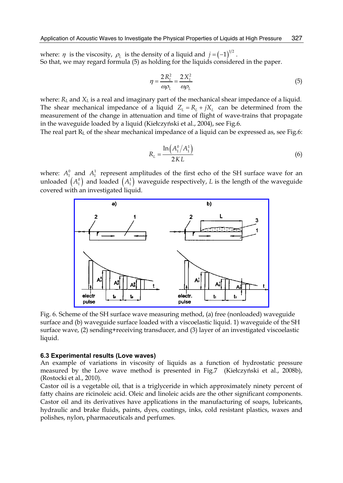where:  $\eta$  is the viscosity,  $\rho$ <sub>*L*</sub> is the density of a liquid and  $j = (-1)^{1/2}$ . So that, we may regard formula (5) as holding for the liquids considered in the paper.

$$
\eta = \frac{2R_L^2}{\omega \rho_L} = \frac{2X_L^2}{\omega \rho_L} \tag{5}
$$

where: *RL* and *XL* is a real and imaginary part of the mechanical shear impedance of a liquid. The shear mechanical impedance of a liquid  $Z_L = R_L + jX_L$  can be determined from the measurement of the change in attenuation and time of flight of wave-trains that propagate in the waveguide loaded by a liquid (Kiełczyński et al., 2004), see Fig.6.

The real part  $R_L$  of the shear mechanical impedance of a liquid can be expressed as, see Fig.6:

$$
R_{L} = \frac{\ln(A_{1}^{0}/A_{1}^{1})}{2KL}
$$
 (6)

where:  $A_1^0$  and  $A_1^1$  represent amplitudes of the first echo of the SH surface wave for an unloaded  $(A_1^0)$  and loaded  $(A_1^1)$  waveguide respectively, *L* is the length of the waveguide covered with an investigated liquid.



Fig. 6. Scheme of the SH surface wave measuring method, (a) free (nonloaded) waveguide surface and (b) waveguide surface loaded with a viscoelastic liquid. 1) waveguide of the SH surface wave, (2) sending+receiving transducer, and (3) layer of an investigated viscoelastic liquid.

#### **6.3 Experimental results (Love waves)**

An example of variations in viscosity of liquids as a function of hydrostatic pressure measured by the Love wave method is presented in Fig.7 (Kiełczyński et al., 2008b), (Rostocki et al., 2010).

Castor oil is a vegetable oil, that is a triglyceride in which approximately ninety percent of fatty chains are ricinoleic acid. Oleic and linoleic acids are the other significant components. Castor oil and its derivatives have applications in the manufacturing of soaps, lubricants, hydraulic and brake fluids, paints, dyes, coatings, inks, cold resistant plastics, waxes and polishes, nylon, pharmaceuticals and perfumes.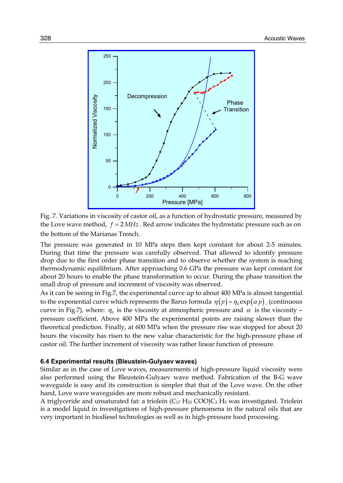

Fig. 7. Variations in viscosity of castor oil, as a function of hydrostatic pressure, measured by the Love wave method, *f* = 2 *MHz* . Red arrow indicates the hydrostatic pressure such as on the bottom of the Marianas Trench.

The pressure was generated in 10 MPa steps then kept constant for about 2-5 minutes. During that time the pressure was carefully observed. That allowed to identify pressure drop due to the first order phase transition and to observe whether the system is reaching thermodynamic equilibrium. After approaching 0.6 GPa the pressure was kept constant for about 20 hours to enable the phase transformation to occur. During the phase transition the small drop of pressure and increment of viscosity was observed.

As it can be seeing in Fig.7, the experimental curve up to about 400 MPa is almost tangential to the exponential curve which represents the Barus formula  $\eta(p) = \eta_0 \exp(\alpha p)$ , (continuous curve in Fig.7), where:  $\eta_0$  is the viscosity at atmospheric pressure and  $\alpha$  is the viscosity – pressure coefficient. Above 400 MPa the experimental points are raising slower than the theoretical prediction. Finally, at 600 MPa when the pressure rise was stopped for about 20 hours the viscosity has risen to the new value characteristic for the high-pressure phase of castor oil. The further increment of viscosity was rather linear function of pressure.

#### **6.4 Experimental results (Bleustein-Gulyaev waves)**

Similar as in the case of Love waves, measurements of high-pressure liquid viscosity were also performed using the Bleustein-Gulyaev wave method. Fabrication of the B-G wave waveguide is easy and its construction is simpler that that of the Love wave. On the other hand, Love wave waveguides are more robust and mechanically resistant.

A triglyceride and unsaturated fat: a triolein  $(C_{17} H_{33} COO)C_3 H_5$  was investigated. Triolein is a model liquid in investigations of high-pressure phenomena in the natural oils that are very important in biodiesel technologies as well as in high-pressure food processing.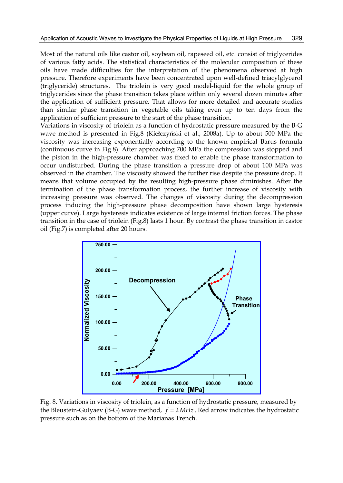Most of the natural oils like castor oil, soybean oil, rapeseed oil, etc. consist of triglycerides of various fatty acids. The statistical characteristics of the molecular composition of these oils have made difficulties for the interpretation of the phenomena observed at high pressure. Therefore experiments have been concentrated upon well-defined triacylglycerol (triglyceride) structures. The triolein is very good model-liquid for the whole group of triglycerides since the phase transition takes place within only several dozen minutes after the application of sufficient pressure. That allows for more detailed and accurate studies than similar phase transition in vegetable oils taking even up to ten days from the application of sufficient pressure to the start of the phase transition.

Variations in viscosity of triolein as a function of hydrostatic pressure measured by the B-G wave method is presented in Fig.8 (Kiełczyński et al., 2008a). Up to about 500 MPa the viscosity was increasing exponentially according to the known empirical Barus formula (continuous curve in Fig.8). After approaching 700 MPa the compression was stopped and the piston in the high-pressure chamber was fixed to enable the phase transformation to occur undisturbed. During the phase transition a pressure drop of about 100 MPa was observed in the chamber. The viscosity showed the further rise despite the pressure drop. It means that volume occupied by the resulting high-pressure phase diminishes. After the termination of the phase transformation process, the further increase of viscosity with increasing pressure was observed. The changes of viscosity during the decompression process inducing the high-pressure phase decomposition have shown large hysteresis (upper curve). Large hysteresis indicates existence of large internal friction forces. The phase transition in the case of triolein (Fig.8) lasts 1 hour. By contrast the phase transition in castor oil (Fig.7) is completed after 20 hours.



Fig. 8. Variations in viscosity of triolein, as a function of hydrostatic pressure, measured by the Bleustein-Gulyaev (B-G) wave method,  $f = 2 MHz$ . Red arrow indicates the hydrostatic pressure such as on the bottom of the Marianas Trench.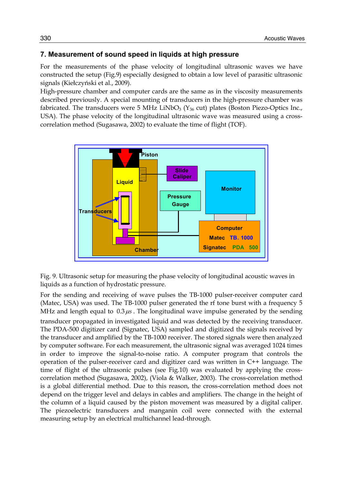## **7. Measurement of sound speed in liquids at high pressure**

For the measurements of the phase velocity of longitudinal ultrasonic waves we have constructed the setup (Fig.9) especially designed to obtain a low level of parasitic ultrasonic signals (Kiełczyński et al., 2009).

High-pressure chamber and computer cards are the same as in the viscosity measurements described previously. A special mounting of transducers in the high-pressure chamber was fabricated. The transducers were 5 MHz LiNbO<sub>3</sub> ( $Y_{36}$  cut) plates (Boston Piezo-Optics Inc., USA). The phase velocity of the longitudinal ultrasonic wave was measured using a crosscorrelation method (Sugasawa, 2002) to evaluate the time of flight (TOF).



Fig. 9. Ultrasonic setup for measuring the phase velocity of longitudinal acoustic waves in liquids as a function of hydrostatic pressure.

For the sending and receiving of wave pulses the TB-1000 pulser-receiver computer card (Matec, USA) was used. The TB-1000 pulser generated the rf tone burst with a frequency 5 MHz and length equal to 0.3μ*s* . The longitudinal wave impulse generated by the sending transducer propagated in investigated liquid and was detected by the receiving transducer. The PDA-500 digitizer card (Signatec, USA) sampled and digitized the signals received by the transducer and amplified by the TB-1000 receiver. The stored signals were then analyzed by computer software. For each measurement, the ultrasonic signal was averaged 1024 times in order to improve the signal-to-noise ratio. A computer program that controls the operation of the pulser-receiver card and digitizer card was written in C++ language. The time of flight of the ultrasonic pulses (see Fig.10) was evaluated by applying the crosscorrelation method (Sugasawa, 2002), (Viola & Walker, 2003). The cross-correlation method is a global differential method. Due to this reason, the cross-correlation method does not depend on the trigger level and delays in cables and amplifiers. The change in the height of the column of a liquid caused by the piston movement was measured by a digital caliper. The piezoelectric transducers and manganin coil were connected with the external measuring setup by an electrical multichannel lead-through.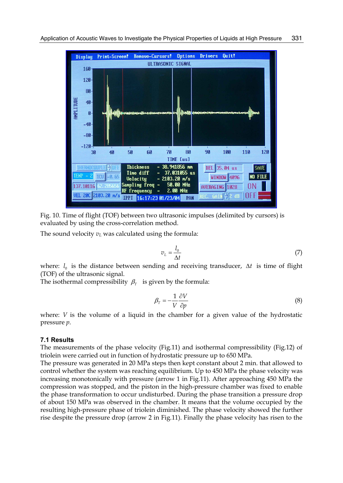

Fig. 10. Time of flight (TOF) between two ultrasonic impulses (delimited by cursors) is evaluated by using the cross-correlation method.

The sound velocity  $v_L$  was calculated using the formula:

$$
v_L = \frac{l_0}{\Delta t} \tag{7}
$$

where:  $l_0$  is the distance between sending and receiving transducer,  $\Delta t$  is time of flight (TOF) of the ultrasonic signal.

The isothermal compressibility  $\beta$ <sup>*T*</sup> is given by the formula:

$$
\beta_T = -\frac{1}{V} \frac{\partial V}{\partial p} \tag{8}
$$

where: *V* is the volume of a liquid in the chamber for a given value of the hydrostatic pressure *p*.

#### **7.1 Results**

The measurements of the phase velocity (Fig.11) and isothermal compressibility (Fig.12) of triolein were carried out in function of hydrostatic pressure up to 650 MPa.

The pressure was generated in 20 MPa steps then kept constant about 2 min. that allowed to control whether the system was reaching equilibrium. Up to 450 MPa the phase velocity was increasing monotonically with pressure (arrow 1 in Fig.11). After approaching 450 MPa the compression was stopped, and the piston in the high-pressure chamber was fixed to enable the phase transformation to occur undisturbed. During the phase transition a pressure drop of about 150 MPa was observed in the chamber. It means that the volume occupied by the resulting high-pressure phase of triolein diminished. The phase velocity showed the further rise despite the pressure drop (arrow 2 in Fig.11). Finally the phase velocity has risen to the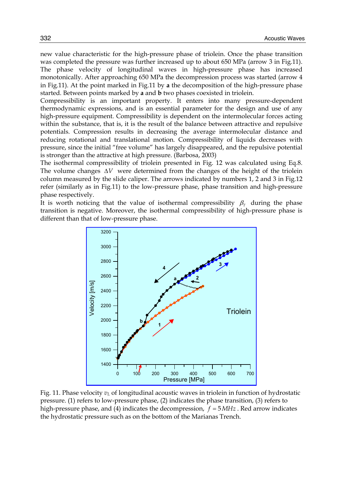new value characteristic for the high-pressure phase of triolein. Once the phase transition was completed the pressure was further increased up to about 650 MPa (arrow 3 in Fig.11). The phase velocity of longitudinal waves in high-pressure phase has increased monotonically. After approaching 650 MPa the decompression process was started (arrow 4 in Fig.11). At the point marked in Fig.11 by **a** the decomposition of the high-pressure phase started. Between points marked by **a** and **b** two phases coexisted in triolein.

Compressibility is an important property. It enters into many pressure-dependent thermodynamic expressions, and is an essential parameter for the design and use of any high-pressure equipment. Compressibility is dependent on the intermolecular forces acting within the substance, that is, it is the result of the balance between attractive and repulsive potentials. Compression results in decreasing the average intermolecular distance and reducing rotational and translational motion. Compressibility of liquids decreases with pressure, since the initial "free volume" has largely disappeared, and the repulsive potential is stronger than the attractive at high pressure. (Barbosa, 2003)

The isothermal compressibility of triolein presented in Fig. 12 was calculated using Eq.8. The volume changes Δ*V* were determined from the changes of the height of the triolein column measured by the slide caliper. The arrows indicated by numbers 1, 2 and 3 in Fig.12 refer (similarly as in Fig.11) to the low-pressure phase, phase transition and high-pressure phase respectively.

It is worth noticing that the value of isothermal compressibility  $\beta_{\rm r}$  during the phase transition is negative. Moreover, the isothermal compressibility of high-pressure phase is different than that of low-pressure phase.



Fig. 11. Phase velocity  $v_L$  of longitudinal acoustic waves in triolein in function of hydrostatic pressure. (1) refers to low-pressure phase, (2) indicates the phase transition, (3) refers to high-pressure phase, and (4) indicates the decompression, *f* = 5*MHz* . Red arrow indicates the hydrostatic pressure such as on the bottom of the Marianas Trench.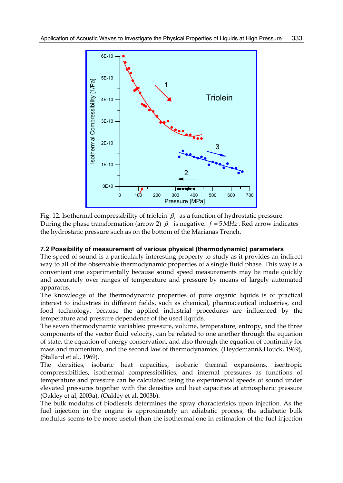

Fig. 12. Isothermal compressibility of triolein  $\beta_r$  as a function of hydrostatic pressure. During the phase transformation (arrow 2)  $\beta_T$  is negative.  $f = 5 MHz$ . Red arrow indicates the hydrostatic pressure such as on the bottom of the Marianas Trench.

#### **7.2 Possibility of measurement of various physical (thermodynamic) parameters**

The speed of sound is a particularly interesting property to study as it provides an indirect way to all of the observable thermodynamic properties of a single fluid phase. This way is a convenient one experimentally because sound speed measurements may be made quickly and accurately over ranges of temperature and pressure by means of largely automated apparatus.

The knowledge of the thermodynamic properties of pure organic liquids is of practical interest to industries in different fields, such as chemical, pharmaceutical industries, and food technology, because the applied industrial procedures are influenced by the temperature and pressure dependence of the used liquids.

The seven thermodynamic variables: pressure, volume, temperature, entropy, and the three components of the vector fluid velocity, can be related to one another through the equation of state, the equation of energy conservation, and also through the equation of continuity for mass and momentum, and the second law of thermodynamics. (Heydemann&Houck, 1969), (Stallard et al., 1969).

The densities, isobaric heat capacities, isobaric thermal expansions, isentropic compressibilities, isothermal compressibilities, and internal pressures as functions of temperature and pressure can be calculated using the experimental speeds of sound under elevated pressures together with the densities and heat capacities at atmospheric pressure (Oakley et al, 2003a), (Oakley et al, 2003b).

The bulk modulus of biodiesels determines the spray characterisics upon injection. As the fuel injection in the engine is approximately an adiabatic process, the adiabatic bulk modulus seems to be more useful than the isothermal one in estimation of the fuel injection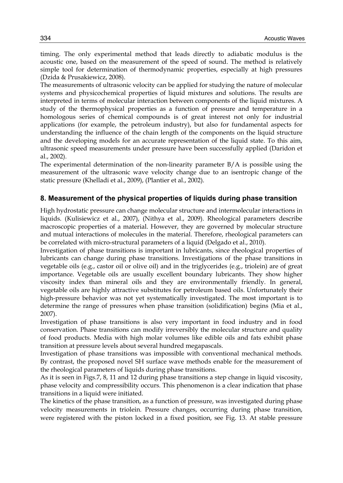timing. The only experimental method that leads directly to adiabatic modulus is the acoustic one, based on the measurement of the speed of sound. The method is relatively simple tool for determination of thermodynamic properties, especially at high pressures (Dzida & Prusakiewicz, 2008).

The measurements of ultrasonic velocity can be applied for studying the nature of molecular systems and physicochemical properties of liquid mixtures and solutions. The results are interpreted in terms of molecular interaction between components of the liquid mixtures. A study of the thermophysical properties as a function of pressure and temperature in a homologous series of chemical compounds is of great interest not only for industrial applications (for example, the petroleum industry), but also for fundamental aspects for understanding the influence of the chain length of the components on the liquid structure and the developing models for an accurate representation of the liquid state. To this aim, ultrasonic speed measurements under pressure have been successfully applied (Daridon et al., 2002).

The experimental determination of the non-linearity parameter  $B/A$  is possible using the measurement of the ultrasonic wave velocity change due to an isentropic change of the static pressure (Khelladi et al., 2009), (Plantier et al., 2002).

## **8. Measurement of the physical properties of liquids during phase transition**

High hydrostatic pressure can change molecular structure and intermolecular interactions in liquids. (Kulisiewicz et al., 2007), (Nithya et al., 2009). Rheological parameters describe macroscopic properties of a material. However, they are governed by molecular structure and mutual interactions of molecules in the material. Therefore, rheological parameters can be correlated with micro-structural parameters of a liquid (Delgado et al., 2010).

Investigation of phase transitions is important in lubricants, since rheological properties of lubricants can change during phase transitions. Investigations of the phase transitions in vegetable oils (e.g., castor oil or olive oil) and in the triglycerides (e.g., triolein) are of great importance. Vegetable oils are usually excellent boundary lubricants. They show higher viscosity index than mineral oils and they are environmentally friendly. In general, vegetable oils are highly attractive substitutes for petroleum based oils. Unfortunately their high-pressure behavior was not yet systematically investigated. The most important is to determine the range of pressures when phase transition (solidification) begins (Mia et al., 2007).

Investigation of phase transitions is also very important in food industry and in food conservation. Phase transitions can modify irreversibly the molecular structure and quality of food products. Media with high molar volumes like edible oils and fats exhibit phase transition at pressure levels about several hundred megapascals.

Investigation of phase transitions was impossible with conventional mechanical methods. By contrast, the proposed novel SH surface wave methods enable for the measurement of the rheological parameters of liquids during phase transitions.

As it is seen in Figs.7, 8, 11 and 12 during phase transitions a step change in liquid viscosity, phase velocity and compressibility occurs. This phenomenon is a clear indication that phase transitions in a liquid were initiated.

The kinetics of the phase transition, as a function of pressure, was investigated during phase velocity measurements in triolein. Pressure changes, occurring during phase transition, were registered with the piston locked in a fixed position, see Fig. 13. At stable pressure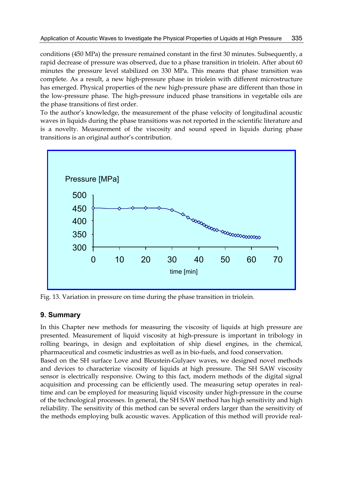conditions (450 MPa) the pressure remained constant in the first 30 minutes. Subsequently, a rapid decrease of pressure was observed, due to a phase transition in triolein. After about 60 minutes the pressure level stabilized on 330 MPa. This means that phase transition was complete. As a result, a new high-pressure phase in triolein with different microstructure has emerged. Physical properties of the new high-pressure phase are different than those in the low-pressure phase. The high-pressure induced phase transitions in vegetable oils are the phase transitions of first order.

To the author's knowledge, the measurement of the phase velocity of longitudinal acoustic waves in liquids during the phase transitions was not reported in the scientific literature and is a novelty. Measurement of the viscosity and sound speed in liquids during phase transitions is an original author's contribution.



Fig. 13. Variation in pressure on time during the phase transition in triolein.

# **9. Summary**

In this Chapter new methods for measuring the viscosity of liquids at high pressure are presented. Measurement of liquid viscosity at high-pressure is important in tribology in rolling bearings, in design and exploitation of ship diesel engines, in the chemical, pharmaceutical and cosmetic industries as well as in bio-fuels, and food conservation.

Based on the SH surface Love and Bleustein-Gulyaev waves, we designed novel methods and devices to characterize viscosity of liquids at high pressure. The SH SAW viscosity sensor is electrically responsive. Owing to this fact, modern methods of the digital signal acquisition and processing can be efficiently used. The measuring setup operates in realtime and can be employed for measuring liquid viscosity under high-pressure in the course of the technological processes. In general, the SH SAW method has high sensitivity and high reliability. The sensitivity of this method can be several orders larger than the sensitivity of the methods employing bulk acoustic waves. Application of this method will provide real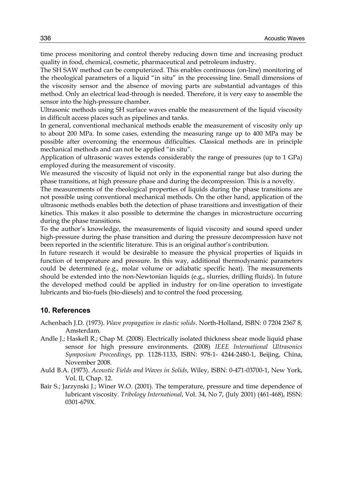time process monitoring and control thereby reducing down time and increasing product quality in food, chemical, cosmetic, pharmaceutical and petroleum industry.

The SH SAW method can be computerized. This enables continuous (on-line) monitoring of the rheological parameters of a liquid "in situ" in the processing line. Small dimensions of the viscosity sensor and the absence of moving parts are substantial advantages of this method. Only an electrical lead-through is needed. Therefore, it is very easy to assemble the sensor into the high-pressure chamber.

Ultrasonic methods using SH surface waves enable the measurement of the liquid viscosity in difficult access places such as pipelines and tanks.

In general, conventional mechanical methods enable the measurement of viscosity only up to about 200 MPa. In some cases, extending the measuring range up to 400 MPa may be possible after overcoming the enormous difficulties. Classical methods are in principle mechanical methods and can not be applied "in situ".

Application of ultrasonic waves extends considerably the range of pressures (up to 1 GPa) employed during the measurement of viscosity.

We measured the viscosity of liquid not only in the exponential range but also during the phase transitions, at high pressure phase and during the decompression. This is a novelty.

The measurements of the rheological properties of liquids during the phase transitions are not possible using conventional mechanical methods. On the other hand, application of the ultrasonic methods enables both the detection of phase transitions and investigation of their kinetics. This makes it also possible to determine the changes in microstructure occurring during the phase transitions.

To the author's knowledge, the measurements of liquid viscosity and sound speed under high-pressure during the phase transition and during the pressure decompression have not been reported in the scientific literature. This is an original author's contribution.

In future research it would be desirable to measure the physical properties of liquids in function of temperature and pressure. In this way, additional thermodynamic parameters could be determined (e.g., molar volume or adiabatic specific heat). The measurements should be extended into the non-Newtonian liquids (e.g., slurries, drilling fluids). In future the developed method could be applied in industry for on-line operation to investigate lubricants and bio-fuels (bio-diesels) and to control the food processing.

#### **10. References**

- Achenbach J.D. (1973). *Wave propagation in elastic solids*. North-Holland, ISBN: 0 7204 2367 8, Amsterdam.
- Andle J.; Haskell R.; Chap M. (2008). Electrically isolated thickness shear mode liquid phase sensor for high pressure environments. (2008) *IEEE International Ultrasonics Symposium Proceedings*, pp. 1128-1133, ISBN: 978-1- 4244-2480-1, Beijing, China, November 2008.
- Auld B.A. (1973). *Acoustic Fields and Waves in Solids*, Wiley, ISBN: 0-471-03700-1, New York, Vol. II, Chap. 12.
- Bair S.; Jarzynski J.; Winer W.O. (2001). The temperature, pressure and time dependence of lubricant viscosity. *Tribology International*, Vol. 34, No 7, (July 2001) (461-468), ISSN: 0301-679X.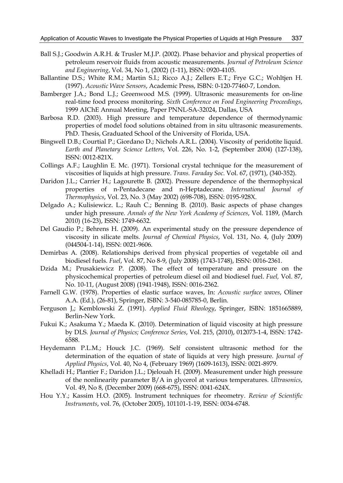- Ball S.J.; Goodwin A.R.H. & Trusler M.J.P. (2002). Phase behavior and physical properties of petroleum reservoir fluids from acoustic measurements. *Journal of Petroleum Science and Engineering*, Vol. 34, No 1, (2002) (1-11), ISSN: 0920-4105.
- Ballantine D.S.; White R.M.; Martin S.I.; Ricco A.J.; Zellers E.T.; Frye G.C.; Wohltjen H. (1997). *Acoustic Wave Sensors*, Academic Press, ISBN: 0-120-77460-7, London.
- Bamberger J.A.; Bond L.J.; Greenwood M.S. (1999). Ultrasonic measurements for on-line real-time food process monitoring. *Sixth Conference on Food Engineering Proceedings*, 1999 AIChE Annual Meeting, Paper PNNL-SA-32024, Dallas, USA
- Barbosa R.D. (2003). High pressure and temperature dependence of thermodynamic properties of model food solutions obtained from in situ ultrasonic measurements. PhD. Thesis, Graduated School of the University of Florida, USA.
- Bingwell D.B.; Courtial P.; Giordano D.; Nichols A.R.L. (2004). Viscosity of peridotite liquid. *Earth and Planetary Science Letters*, Vol. 226, No. 1-2, (September 2004) (127-138), ISSN: 0012-821X.
- Collings A.F.; Laughlin E. Mc. (1971). Torsional crystal technique for the measurement of viscosities of liquids at high pressure. *Trans. Faraday Soc*. Vol. 67, (1971), (340-352).
- Daridon J.L.; Carrier H.; Lagourette B. (2002). Pressure dependence of the thermophysical properties of n-Pentadecane and n-Heptadecane. *International Journal of Thermophysics*, Vol. 23, No. 3 (May 2002) (698-708), ISSN: 0195-928X.
- Delgado A.; Kulisiewicz. L.; Rauh C.; Benning B. (2010). Basic aspects of phase changes under high pressure*. Annals of the New York Academy of Sciences*, Vol. 1189, (March 2010) (16-23), ISSN: 1749-6632.
- Del Gaudio P.; Behrens H. (2009). An experimental study on the pressure dependence of viscosity in silicate melts*. Journal of Chemical Physics*, Vol. 131, No. 4, (July 2009) (044504-1-14), ISSN: 0021-9606.
- Demirbas A. (2008). Relationships derived from physical properties of vegetable oil and biodiesel fuels. *Fuel*, Vol. 87, No 8-9, (July 2008) (1743-1748), ISSN: 0016-2361.
- Dzida M.; Prusakiewicz P. (2008). The effect of temperature and pressure on the physicochemical properties of petroleum diesel oil and biodiesel fuel. *Fuel,* Vol. 87, No. 10-11, (August 2008) (1941-1948), ISSN: 0016-2362.
- Farnell G.W. (1978). Properties of elastic surface waves, In: *Acoustic surface waves*, Oliner A.A. (Ed.), (26-81), Springer, ISBN: 3-540-085785-0, Berlin.
- Ferguson J,; Kemblowski Z. (1991). *Applied Fluid Rheology*, Springer, ISBN: 1851665889, Berlin-New York.
- Fukui K.; Asakuma Y.; Maeda K. (2010). Determination of liquid viscosity at high pressure by DLS. *Journal of Physics; Conference Series*, Vol. 215, (2010), 012073-1-4, ISSN: 1742- 6588.
- Heydemann P.L.M.; Houck J.C. (1969). Self consistent ultrasonic method for the determination of the equation of state of liquids at very high pressure. *Journal of Applied Physics*, Vol. 40, No 4, (February 1969) (1609-1613), ISSN: 0021-8979.
- Khelladi H.; Plantier F.; Daridon J.L.; Djelouah H. (2009). Measurement under high pressure of the nonlinearity parameter B/A in glycerol at various temperatures. *Ultrasonics*, Vol. 49, No 8, (December 2009) (668-675), ISSN: 0041-624X.
- Hou Y.Y.; Kassim H.O. (2005). Instrument techniques for rheometry. *Review of Scientific Instruments*, vol. 76, (October 2005), 101101-1-19, ISSN: 0034-6748.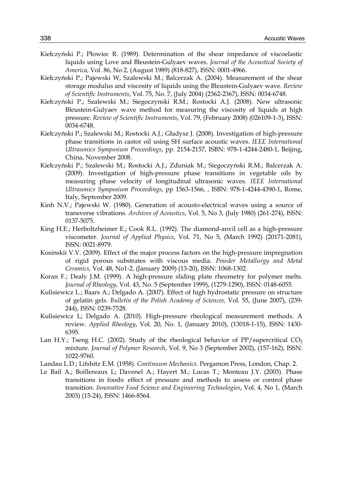- Kiełczyński P.; Płowiec R. (1989). Determination of the shear impedance of viscoelastic liquids using Love and Bleustein-Gulyaev waves. *Journal of the Acoustical Society of America*, Vol. 86, No 2, (August 1989) (818-827), ISSN: 0001-4966.
- Kiełczyński P.; Pajewski W, Szalewski M.; Balcerzak A. (2004). Measurement of the shear storage modulus and viscosity of liquids using the Bleustein-Gulyaev wave. *Review of Scientific Instruments*, Vol. 75, No. 7, (July 2004) (2362-2367), ISSN: 0034-6748.
- Kiełczyński P.; Szalewski M.; Siegoczynski R.M.; Rostocki A.J. (2008). New ultrasonic Bleustein-Gulyaev wave method for measuring the viscosity of liquids at high pressure. *Review of Scientific Instruments*, Vol. 79, (February 2008) (026109-1-3), ISSN: 0034-6748.
- Kiełczyński P.; Szalewski M.; Rostocki A.J.; Gładysz J. (2008). Investigation of high-pressure phase transitions in castor oil using SH surface acoustic waves. *IEEE International Ultrasonics Symposium Proceedings*, pp. 2154-2157, ISBN: 978-1-4244-2480-1, Beijing, China, November 2008.
- Kiełczyński P.; Szalewski M.; Rostocki A.J.; Zduniak M.; Siegoczyński R.M.; Balcerzak A. (2009). Investigation of high-pressure phase transitions in vegetable oils by measuring phase velocity of longitudinal ultrasonic waves*. IEEE International Ultrasonics Symposium Proceedings*, pp 1563-1566, , ISBN: 978-1-4244-4390-1, Rome, Italy, September 2009.
- Kinh N.V.; Pajewski W. (1980). Generation of acousto-electrical waves using a source of transverse vibrations*. Archives of Acoustics*, Vol. 5, No 3, (July 1980) (261-274), ISSN: 0137-5075.
- King H.E.; Herboltzheimer E.; Cook R.L. (1992). The diamond-anvil cell as a high-pressure viscometer. *Journal of Applied Physics*, Vol. 71, No 5, (March 1992) (20171-2081), ISSN: 0021-8979.
- Kosinskii V.V. (2009). Effect of the major process factors on the high-pressure impregnation of rigid porous substrates with viscous media. *Powder Metallurgy and Metal Ceramics,* Vol. 48, No1-2, (January 2009) (13-20), ISSN: 1068-1302.
- Koran F.; Dealy J.M. (1999). A high-pressure sliding plate rheometry for polymer melts. *Journal of Rheology*, Vol. 43, No. 5 (September 1999), (1279-1290), ISSN: 0148-6055.
- Kulisiewicz L.; Baars A.; Delgado A. (2007). Effect of high hydrostatic pressure on structure of gelatin gels*. Bulletin of the Polish Academy of Sciences,* Vol. 55, (June 2007), (239- 244), ISSN: 0239-7528.
- Kulisiewicz L; Delgado A. (2010). High-pressure rheological measurement methods. A review. *Applied Rheology*, Vol. 20, No. 1, (January 2010), (13018-1-15), ISSN: 1430- 6395.
- Lan H.Y.; Tseng H.C. (2002). Study of the rheological behavior of PP/supercritical  $CO<sub>2</sub>$ mixture. *Journal of Polymer Research*, Vol. 9, No 3 (September 2002), (157-162), ISSN: 1022-9760.
- Landau L.D.; Lifshitz E.M. (1958). *Continuum Mechanics*. Pergamon Press, London, Chap. 2.
- Le Bail A.; Boillereaux L; Davenel A.; Hayert M.; Lucas T.; Monteau J.Y. (2003). Phase transitions in foods: effect of pressure and methods to assess or control phase transition. *Innovative Food Science and Engineering Technologies*, Vol. 4, No 1, (March 2003) (15-24), ISSN: 1466-8564.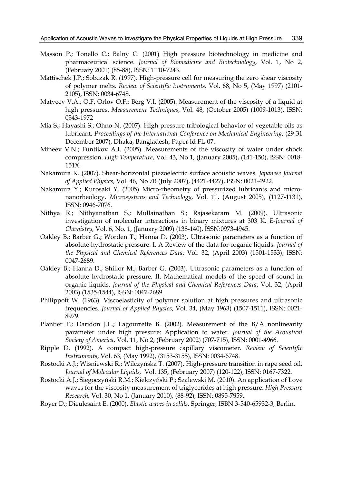- Masson P.; Tonello C.; Balny C. (2001) High pressure biotechnology in medicine and pharmaceutical science. *Journal of Biomedicine and Biotechnology*, Vol. 1, No 2, (February 2001) (85-88), ISSN: 1110-7243.
- Mattischek J.P.; Sobczak R. (1997). High-pressure cell for measuring the zero shear viscosity of polymer melts*. Review of Scientific Instruments,* Vol. 68, No 5, (May 1997) (2101- 2105), ISSN: 0034-6748.
- Matveev V.A.; O.F. Orlov O.F.; Berg V.I. (2005). Measurement of the viscosity of a liquid at high pressures. *Measurement Techniques*, Vol. 48, (October 2005) (1009-1013), ISSN: 0543-1972
- Mia S.; Hayashi S.; Ohno N. (2007). High pressure tribological behavior of vegetable oils as lubricant. *Proceedings of the International Conference on Mechanical Engineering*, (29-31 December 2007), Dhaka, Bangladesh, Paper Id FL-07.
- Mineev V.N.; Funtikov A.I. (2005). Measurements of the viscosity of water under shock compression. *High Temperature*, Vol. 43, No 1, (January 2005), (141-150), ISSN: 0018- 151X.
- Nakamura K. (2007). Shear-horizontal piezoelectric surface acoustic waves. *Japanese Journal of Applied Physics*, Vol. 46, No 7B (July 2007), (4421-4427), ISSN: 0021-4922.
- Nakamura Y.; Kurosaki Y. (2005) Micro-rheometry of pressurized lubricants and micronanorheology. *Microsystems and Technology*, Vol. 11, (August 2005), (1127-1131), ISSN: 0946-7076.
- Nithya R.; Nithyanathan S.; Mullainathan S.; Rajasekaram M. (2009). Ultrasonic investigation of molecular interactions in binary mixtures at 303 K. *E-Journal of Chemistry,* Vol. 6, No. 1, (January 2009) (138-140), ISSN:0973-4945.
- Oakley B.; Barber G.; Worden T.; Hanna D. (2003). Ultrasonic parameters as a function of absolute hydrostatic pressure. I. A Review of the data for organic liquids. *Journal of the Physical and Chemical References Data*, Vol. 32, (April 2003) (1501-1533), ISSN: 0047-2689.
- Oakley B.; Hanna D.; Shillor M.; Barber G. (2003). Ultrasonic parameters as a function of absolute hydrostatic pressure. II. Mathematical models of the speed of sound in organic liquids. *Journal of the Physical and Chemical References Data*, Vol. 32, (April 2003) (1535-1544), ISSN: 0047-2689.
- Philippoff W. (1963). Viscoelasticity of polymer solution at high pressures and ultrasonic frequencies. *Journal of Applied Physics*, Vol. 34, (May 1963) (1507-1511), ISSN: 0021- 8979.
- Plantier F.; Daridon J.L.; Lagourrette B. (2002). Measurement of the B/A nonlinearity parameter under high pressure: Application to water. *Journal of the Acoustical Society of America*, Vol. 11, No 2, (February 2002) (707-715), ISSN: 0001-4966.
- Ripple D. (1992). A compact high-pressure capillary viscometer*. Review of Scientific Instruments*, Vol. 63, (May 1992), (3153-3155), ISSN: 0034-6748.
- Rostocki A.J.; Wiśniewski R.; Wilczyńska T. (2007). High-pressure transition in rape seed oil. *Journal of Molecular Liquids,* Vol. 135, (February 2007) (120-122), ISSN: 0167-7322.
- Rostocki A.J.; Siegoczyński R.M.; Kiełczyński P.; Szalewski M. (2010). An application of Love waves for the viscosity measurement of triglycerides at high pressure. *High Pressure Research,* Vol. 30, No 1, (January 2010), (88-92), ISSN: 0895-7959.
- Royer D.; Dieulesaint E. (2000). *Elastic waves in solids*. Springer, ISBN 3-540-65932-3, Berlin.